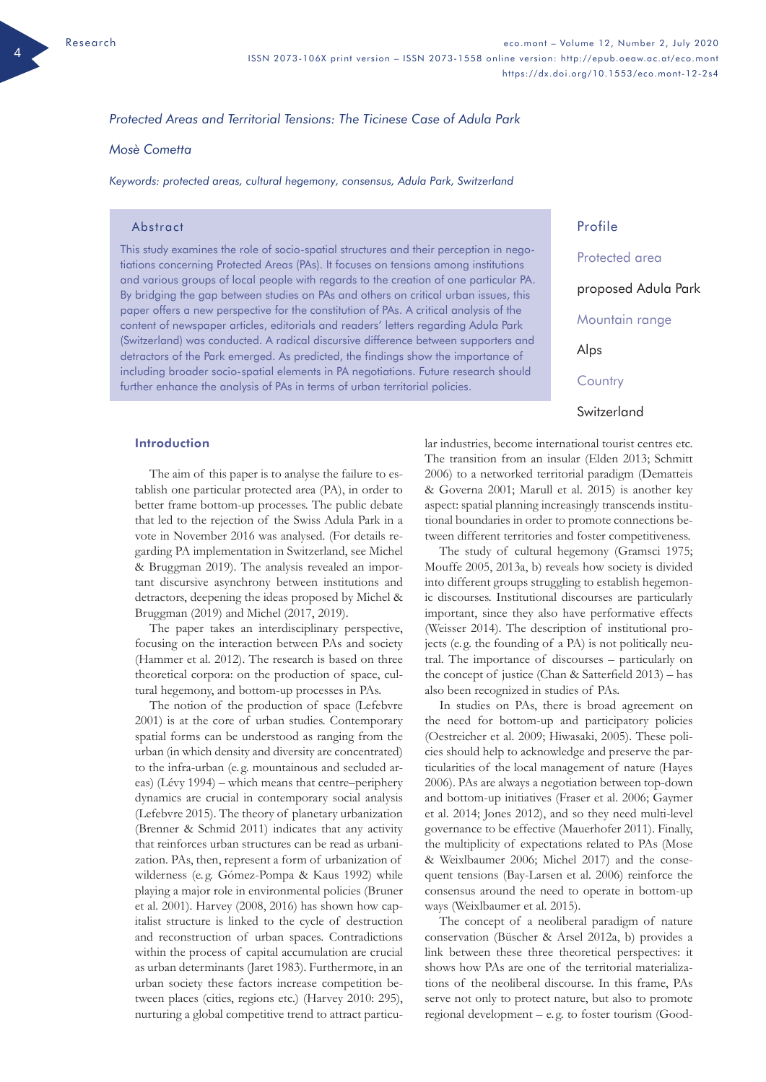## *Protected Areas and Territorial Tensions: The Ticinese Case of Adula Park*

## *Mosè Cometta*

*Keywords: protected areas, cultural hegemony, consensus, Adula Park, Switzerland*

#### Abstract

This study examines the role of socio-spatial structures and their perception in negotiations concerning Protected Areas (PAs). It focuses on tensions among institutions and various groups of local people with regards to the creation of one particular PA. By bridging the gap between studies on PAs and others on critical urban issues, this paper offers a new perspective for the constitution of PAs. A critical analysis of the content of newspaper articles, editorials and readers' letters regarding Adula Park (Switzerland) was conducted. A radical discursive difference between supporters and detractors of the Park emerged. As predicted, the findings show the importance of including broader socio-spatial elements in PA negotiations. Future research should further enhance the analysis of PAs in terms of urban territorial policies.

Introduction

The aim of this paper is to analyse the failure to establish one particular protected area (PA), in order to better frame bottom-up processes. The public debate that led to the rejection of the Swiss Adula Park in a vote in November 2016 was analysed. (For details regarding PA implementation in Switzerland, see Michel & Bruggman 2019). The analysis revealed an important discursive asynchrony between institutions and detractors, deepening the ideas proposed by Michel & Bruggman (2019) and Michel (2017, 2019).

The paper takes an interdisciplinary perspective, focusing on the interaction between PAs and society (Hammer et al. 2012). The research is based on three theoretical corpora: on the production of space, cultural hegemony, and bottom-up processes in PAs.

The notion of the production of space (Lefebvre 2001) is at the core of urban studies. Contemporary spatial forms can be understood as ranging from the urban (in which density and diversity are concentrated) to the infra-urban (e. g. mountainous and secluded areas) (Lévy 1994) – which means that centre–periphery dynamics are crucial in contemporary social analysis (Lefebvre 2015). The theory of planetary urbanization (Brenner & Schmid 2011) indicates that any activity that reinforces urban structures can be read as urbanization. PAs, then, represent a form of urbanization of wilderness (e.g. Gómez-Pompa & Kaus 1992) while playing a major role in environmental policies (Bruner et al. 2001). Harvey (2008, 2016) has shown how capitalist structure is linked to the cycle of destruction and reconstruction of urban spaces. Contradictions within the process of capital accumulation are crucial as urban determinants (Jaret 1983). Furthermore, in an urban society these factors increase competition between places (cities, regions etc.) (Harvey 2010: 295), nurturing a global competitive trend to attract particuProfile Protected area proposed Adula Park Mountain range Alps **Country Switzerland** 

lar industries, become international tourist centres etc. The transition from an insular (Elden 2013; Schmitt 2006) to a networked territorial paradigm (Dematteis & Governa 2001; Marull et al. 2015) is another key aspect: spatial planning increasingly transcends institutional boundaries in order to promote connections between different territories and foster competitiveness.

The study of cultural hegemony (Gramsci 1975; Mouffe 2005, 2013a, b) reveals how society is divided into different groups struggling to establish hegemonic discourses. Institutional discourses are particularly important, since they also have performative effects (Weisser 2014). The description of institutional projects (e. g. the founding of a PA) is not politically neutral. The importance of discourses – particularly on the concept of justice (Chan & Satterfield 2013) – has also been recognized in studies of PAs.

In studies on PAs, there is broad agreement on the need for bottom-up and participatory policies (Oestreicher et al. 2009; Hiwasaki, 2005). These policies should help to acknowledge and preserve the particularities of the local management of nature (Hayes 2006). PAs are always a negotiation between top-down and bottom-up initiatives (Fraser et al. 2006; Gaymer et al. 2014; Jones 2012), and so they need multi-level governance to be effective (Mauerhofer 2011). Finally, the multiplicity of expectations related to PAs (Mose & Weixlbaumer 2006; Michel 2017) and the consequent tensions (Bay-Larsen et al. 2006) reinforce the consensus around the need to operate in bottom-up ways (Weixlbaumer et al. 2015).

The concept of a neoliberal paradigm of nature conservation (Büscher & Arsel 2012a, b) provides a link between these three theoretical perspectives: it shows how PAs are one of the territorial materializations of the neoliberal discourse. In this frame, PAs serve not only to protect nature, but also to promote regional development – e. g. to foster tourism (Good-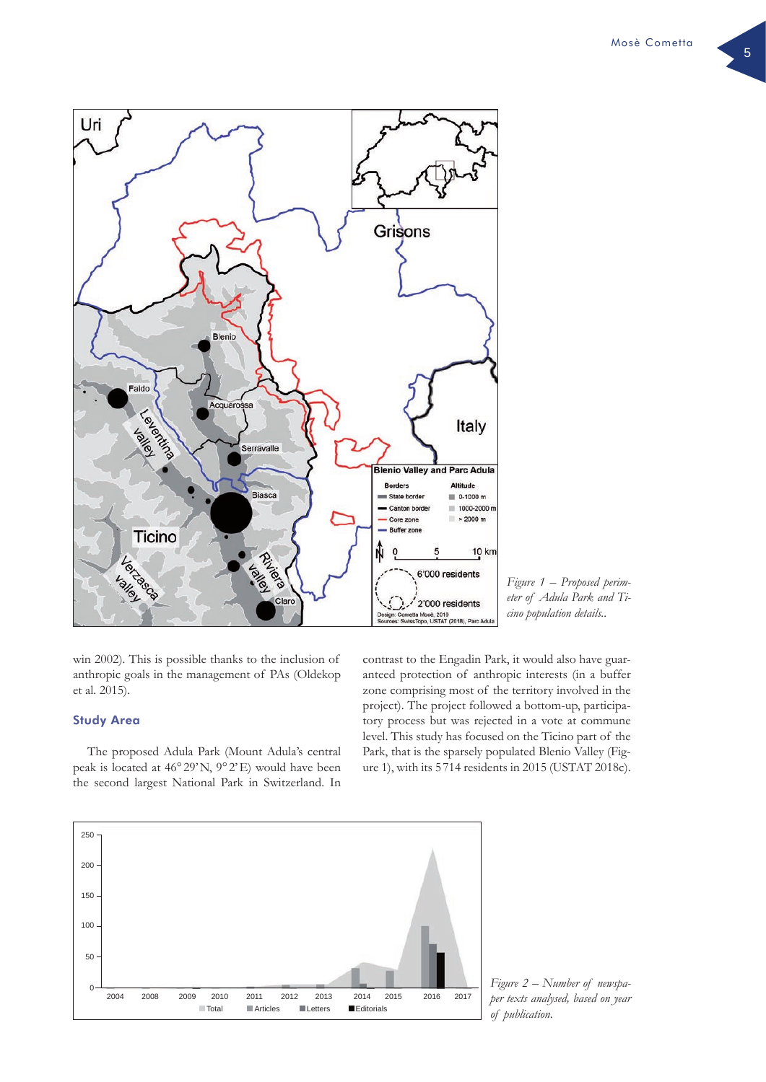

*Figure 1 – Proposed perimeter of Adula Park and Ticino population details..*

win 2002). This is possible thanks to the inclusion of anthropic goals in the management of PAs (Oldekop et al. 2015).

# Study Area

The proposed Adula Park (Mount Adula's central peak is located at 46° 29'N, 9° 2'E) would have been the second largest National Park in Switzerland. In

contrast to the Engadin Park, it would also have guaranteed protection of anthropic interests (in a buffer zone comprising most of the territory involved in the project). The project followed a bottom-up, participatory process but was rejected in a vote at commune level. This study has focused on the Ticino part of the Park, that is the sparsely populated Blenio Valley (Figure 1), with its 5 714 residents in 2015 (USTAT 2018c).



*Figure 2 – Number of newspaper texts analysed, based on year of publication.*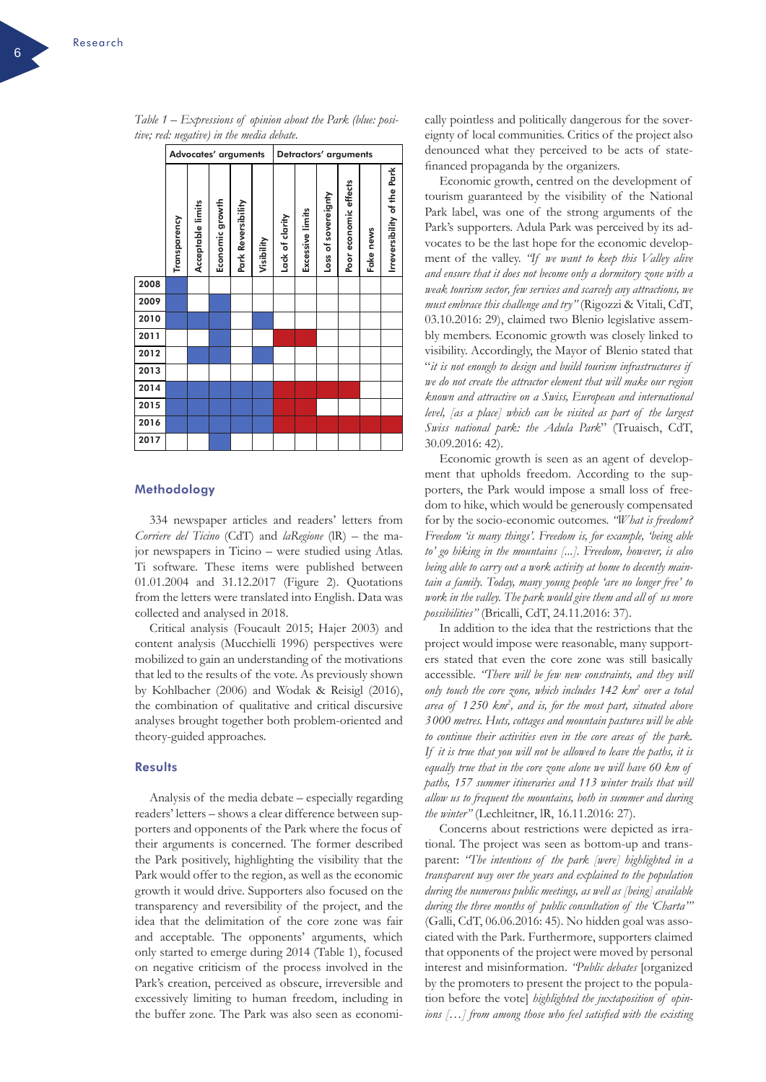|      | Advocates' arguments |                   |                 |                    |            | Detractors' arguments |                  |                     |                       |           |                             |
|------|----------------------|-------------------|-----------------|--------------------|------------|-----------------------|------------------|---------------------|-----------------------|-----------|-----------------------------|
|      | Transparency         | Acceptable limits | Economic growth | Park Reversibility | Visibility | Lack of clarity       | Excessive limits | Loss of sovereignty | Poor economic effects | Fake news | Irreversibility of the Park |
| 2008 |                      |                   |                 |                    |            |                       |                  |                     |                       |           |                             |
| 2009 |                      |                   |                 |                    |            |                       |                  |                     |                       |           |                             |
| 2010 |                      |                   |                 |                    |            |                       |                  |                     |                       |           |                             |
| 2011 |                      |                   |                 |                    |            |                       |                  |                     |                       |           |                             |
| 2012 |                      |                   |                 |                    |            |                       |                  |                     |                       |           |                             |
| 2013 |                      |                   |                 |                    |            |                       |                  |                     |                       |           |                             |
| 2014 |                      |                   |                 |                    |            |                       |                  |                     |                       |           |                             |
| 2015 |                      |                   |                 |                    |            |                       |                  |                     |                       |           |                             |
| 2016 |                      |                   |                 |                    |            |                       |                  |                     |                       |           |                             |
| 2017 |                      |                   |                 |                    |            |                       |                  |                     |                       |           |                             |

*Table 1 – Expressions of opinion about the Park (blue: positive; red: negative) in the media debate.* 

#### Methodology

334 newspaper articles and readers' letters from *Corriere del Ticino* (CdT) and *laRegione* (lR) – the major newspapers in Ticino – were studied using Atlas. Ti software. These items were published between 01.01.2004 and 31.12.2017 (Figure 2). Quotations from the letters were translated into English. Data was collected and analysed in 2018.

Critical analysis (Foucault 2015; Hajer 2003) and content analysis (Mucchielli 1996) perspectives were mobilized to gain an understanding of the motivations that led to the results of the vote. As previously shown by Kohlbacher (2006) and Wodak & Reisigl (2016), the combination of qualitative and critical discursive analyses brought together both problem-oriented and theory-guided approaches.

### **Results**

Analysis of the media debate – especially regarding readers' letters – shows a clear difference between supporters and opponents of the Park where the focus of their arguments is concerned. The former described the Park positively, highlighting the visibility that the Park would offer to the region, as well as the economic growth it would drive. Supporters also focused on the transparency and reversibility of the project, and the idea that the delimitation of the core zone was fair and acceptable. The opponents' arguments, which only started to emerge during 2014 (Table 1), focused on negative criticism of the process involved in the Park's creation, perceived as obscure, irreversible and excessively limiting to human freedom, including in the buffer zone. The Park was also seen as economically pointless and politically dangerous for the sovereignty of local communities. Critics of the project also denounced what they perceived to be acts of statefinanced propaganda by the organizers.

Economic growth, centred on the development of tourism guaranteed by the visibility of the National Park label, was one of the strong arguments of the Park's supporters. Adula Park was perceived by its advocates to be the last hope for the economic development of the valley. *"If we want to keep this Valley alive and ensure that it does not become only a dormitory zone with a weak tourism sector, few services and scarcely any attractions, we must embrace this challenge and try"* (Rigozzi & Vitali, CdT, 03.10.2016: 29), claimed two Blenio legislative assembly members. Economic growth was closely linked to visibility. Accordingly, the Mayor of Blenio stated that "*it is not enough to design and build tourism infrastructures if we do not create the attractor element that will make our region known and attractive on a Swiss, European and international level, [as a place] which can be visited as part of the largest Swiss national park: the Adula Park*" (Truaisch, CdT, 30.09.2016: 42).

Economic growth is seen as an agent of development that upholds freedom. According to the supporters, the Park would impose a small loss of freedom to hike, which would be generously compensated for by the socio-economic outcomes. *"What is freedom? Freedom 'is many things'. Freedom is, for example, 'being able to' go hiking in the mountains [...]. Freedom, however, is also being able to carry out a work activity at home to decently maintain a family. Today, many young people 'are no longer free' to work in the valley. The park would give them and all of us more possibilities"* (Bricalli, CdT, 24.11.2016: 37).

In addition to the idea that the restrictions that the project would impose were reasonable, many supporters stated that even the core zone was still basically accessible. *"There will be few new constraints, and they will only touch the core zone, which includes 142 km2 over a total area of 1 250 km2 , and is, for the most part, situated above 3 000 metres. Huts, cottages and mountain pastures will be able to continue their activities even in the core areas of the park. If it is true that you will not be allowed to leave the paths, it is equally true that in the core zone alone we will have 60 km of paths, 157 summer itineraries and 113 winter trails that will allow us to frequent the mountains, both in summer and during the winter"* (Lechleitner, lR, 16.11.2016: 27).

Concerns about restrictions were depicted as irrational. The project was seen as bottom-up and transparent: *"The intentions of the park [were] highlighted in a transparent way over the years and explained to the population during the numerous public meetings, as well as [being] available during the three months of public consultation of the 'Charta'"* (Galli, CdT, 06.06.2016: 45). No hidden goal was associated with the Park. Furthermore, supporters claimed that opponents of the project were moved by personal interest and misinformation. *"Public debates* [organized by the promoters to present the project to the population before the vote] *highlighted the juxtaposition of opinions […] from among those who feel satisfied with the existing*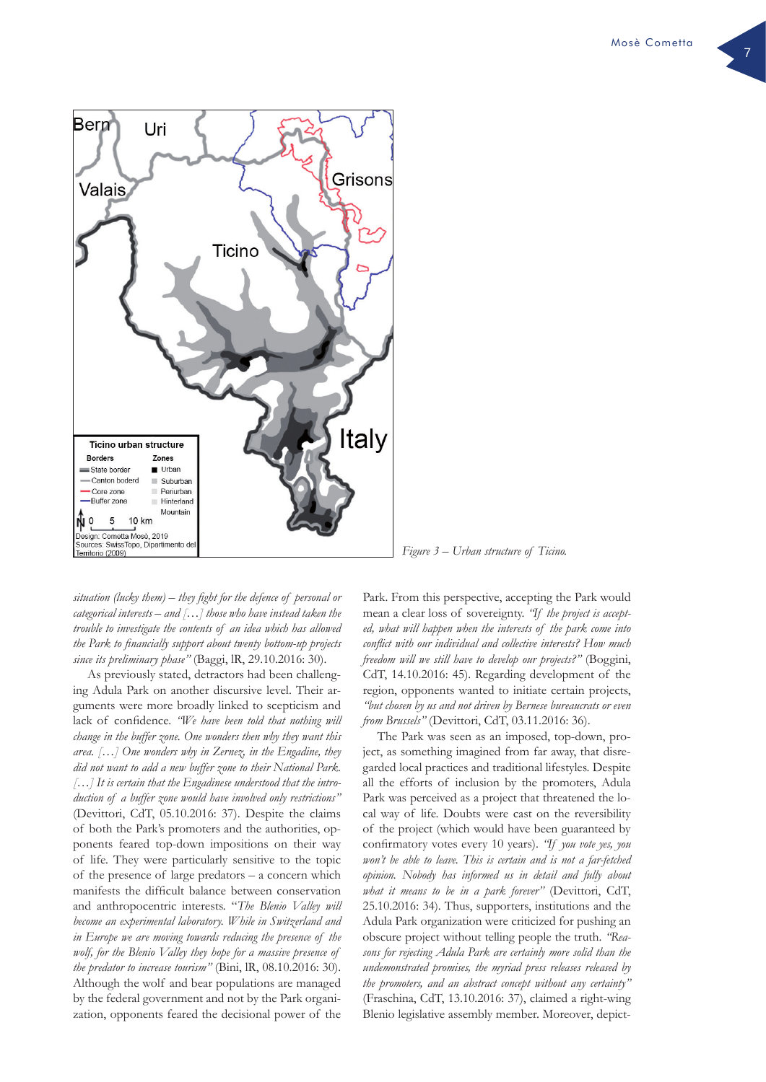

*situation (lucky them) – they fight for the defence of personal or categorical interests – and […] those who have instead taken the trouble to investigate the contents of an idea which has allowed the Park to financially support about twenty bottom-up projects since its preliminary phase"* (Baggi, lR, 29.10.2016: 30).

As previously stated, detractors had been challenging Adula Park on another discursive level. Their arguments were more broadly linked to scepticism and lack of confidence. *"We have been told that nothing will change in the buffer zone. One wonders then why they want this area. […] One wonders why in Zernez, in the Engadine, they did not want to add a new buffer zone to their National Park. […] It is certain that the Engadinese understood that the introduction of a buffer zone would have involved only restrictions"*  (Devittori, CdT, 05.10.2016: 37). Despite the claims of both the Park's promoters and the authorities, opponents feared top-down impositions on their way of life. They were particularly sensitive to the topic of the presence of large predators – a concern which manifests the difficult balance between conservation and anthropocentric interests. "*The Blenio Valley will become an experimental laboratory. While in Switzerland and in Europe we are moving towards reducing the presence of the wolf, for the Blenio Valley they hope for a massive presence of the predator to increase tourism"* (Bini, lR, 08.10.2016: 30). Although the wolf and bear populations are managed by the federal government and not by the Park organization, opponents feared the decisional power of the

*Figure 3 – Urban structure of Ticino.*

Park. From this perspective, accepting the Park would mean a clear loss of sovereignty. *"If the project is accepted, what will happen when the interests of the park come into conflict with our individual and collective interests? How much freedom will we still have to develop our projects?"* (Boggini, CdT, 14.10.2016: 45). Regarding development of the region, opponents wanted to initiate certain projects, *"but chosen by us and not driven by Bernese bureaucrats or even from Brussels"* (Devittori, CdT, 03.11.2016: 36).

The Park was seen as an imposed, top-down, project, as something imagined from far away, that disregarded local practices and traditional lifestyles. Despite all the efforts of inclusion by the promoters, Adula Park was perceived as a project that threatened the local way of life. Doubts were cast on the reversibility of the project (which would have been guaranteed by confirmatory votes every 10 years). *"If you vote yes, you won't be able to leave. This is certain and is not a far-fetched opinion. Nobody has informed us in detail and fully about what it means to be in a park forever"* (Devittori, CdT, 25.10.2016: 34). Thus, supporters, institutions and the Adula Park organization were criticized for pushing an obscure project without telling people the truth. *"Reasons for rejecting Adula Park are certainly more solid than the undemonstrated promises, the myriad press releases released by the promoters, and an abstract concept without any certainty"* (Fraschina, CdT, 13.10.2016: 37), claimed a right-wing Blenio legislative assembly member. Moreover, depict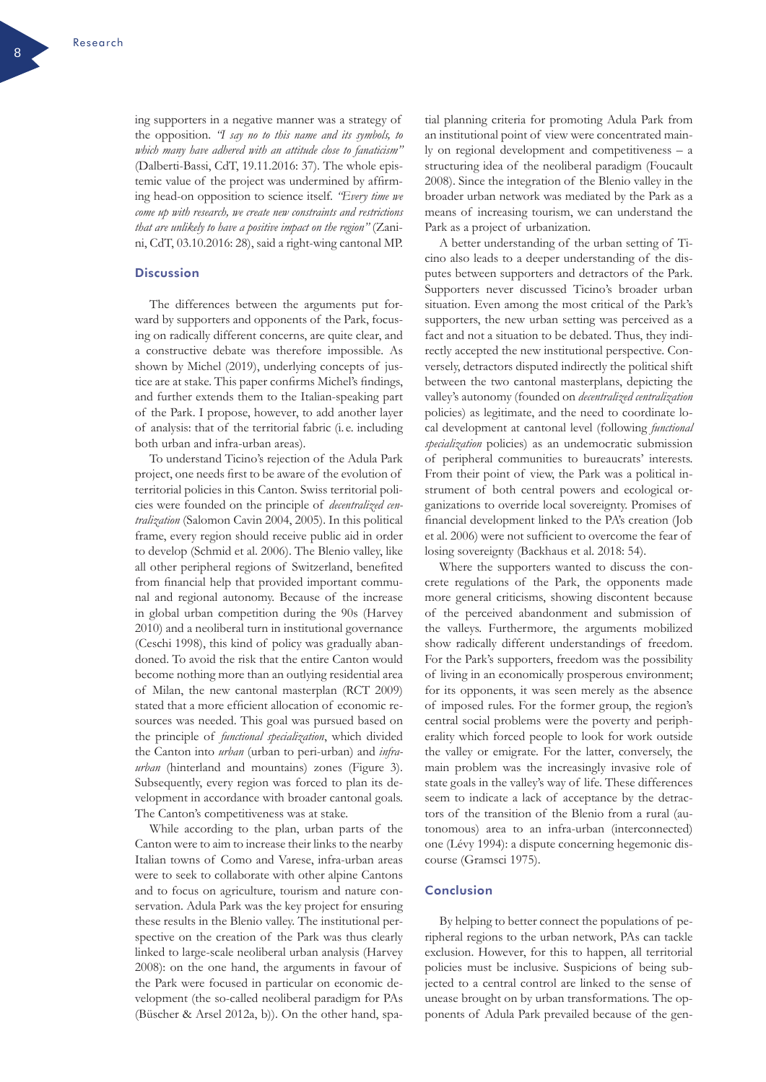ing supporters in a negative manner was a strategy of the opposition. *"I say no to this name and its symbols, to which many have adhered with an attitude close to fanaticism"* (Dalberti-Bassi, CdT, 19.11.2016: 37). The whole epistemic value of the project was undermined by affirming head-on opposition to science itself. *"Every time we come up with research, we create new constraints and restrictions that are unlikely to have a positive impact on the region"* (Zanini, CdT, 03.10.2016: 28), said a right-wing cantonal MP.

# **Discussion**

The differences between the arguments put forward by supporters and opponents of the Park, focusing on radically different concerns, are quite clear, and a constructive debate was therefore impossible. As shown by Michel (2019), underlying concepts of justice are at stake. This paper confirms Michel's findings, and further extends them to the Italian-speaking part of the Park. I propose, however, to add another layer of analysis: that of the territorial fabric (i. e. including both urban and infra-urban areas).

To understand Ticino's rejection of the Adula Park project, one needs first to be aware of the evolution of territorial policies in this Canton. Swiss territorial policies were founded on the principle of *decentralized centralization* (Salomon Cavin 2004, 2005). In this political frame, every region should receive public aid in order to develop (Schmid et al. 2006). The Blenio valley, like all other peripheral regions of Switzerland, benefited from financial help that provided important communal and regional autonomy. Because of the increase in global urban competition during the 90s (Harvey 2010) and a neoliberal turn in institutional governance (Ceschi 1998), this kind of policy was gradually abandoned. To avoid the risk that the entire Canton would become nothing more than an outlying residential area of Milan, the new cantonal masterplan (RCT 2009) stated that a more efficient allocation of economic resources was needed. This goal was pursued based on the principle of *functional specialization*, which divided the Canton into *urban* (urban to peri-urban) and *infraurban* (hinterland and mountains) zones (Figure 3). Subsequently, every region was forced to plan its development in accordance with broader cantonal goals. The Canton's competitiveness was at stake.

While according to the plan, urban parts of the Canton were to aim to increase their links to the nearby Italian towns of Como and Varese, infra-urban areas were to seek to collaborate with other alpine Cantons and to focus on agriculture, tourism and nature conservation. Adula Park was the key project for ensuring these results in the Blenio valley. The institutional perspective on the creation of the Park was thus clearly linked to large-scale neoliberal urban analysis (Harvey 2008): on the one hand, the arguments in favour of the Park were focused in particular on economic development (the so-called neoliberal paradigm for PAs (Büscher & Arsel 2012a, b)). On the other hand, spa-

tial planning criteria for promoting Adula Park from an institutional point of view were concentrated mainly on regional development and competitiveness – a structuring idea of the neoliberal paradigm (Foucault 2008). Since the integration of the Blenio valley in the broader urban network was mediated by the Park as a means of increasing tourism, we can understand the Park as a project of urbanization.

A better understanding of the urban setting of Ticino also leads to a deeper understanding of the disputes between supporters and detractors of the Park. Supporters never discussed Ticino's broader urban situation. Even among the most critical of the Park's supporters, the new urban setting was perceived as a fact and not a situation to be debated. Thus, they indirectly accepted the new institutional perspective. Conversely, detractors disputed indirectly the political shift between the two cantonal masterplans, depicting the valley's autonomy (founded on *decentralized centralization* policies) as legitimate, and the need to coordinate local development at cantonal level (following *functional specialization* policies) as an undemocratic submission of peripheral communities to bureaucrats' interests. From their point of view, the Park was a political instrument of both central powers and ecological organizations to override local sovereignty. Promises of financial development linked to the PA's creation (Job et al. 2006) were not sufficient to overcome the fear of losing sovereignty (Backhaus et al. 2018: 54).

Where the supporters wanted to discuss the concrete regulations of the Park, the opponents made more general criticisms, showing discontent because of the perceived abandonment and submission of the valleys. Furthermore, the arguments mobilized show radically different understandings of freedom. For the Park's supporters, freedom was the possibility of living in an economically prosperous environment; for its opponents, it was seen merely as the absence of imposed rules. For the former group, the region's central social problems were the poverty and peripherality which forced people to look for work outside the valley or emigrate. For the latter, conversely, the main problem was the increasingly invasive role of state goals in the valley's way of life. These differences seem to indicate a lack of acceptance by the detractors of the transition of the Blenio from a rural (autonomous) area to an infra-urban (interconnected) one (Lévy 1994): a dispute concerning hegemonic discourse (Gramsci 1975).

### Conclusion

By helping to better connect the populations of peripheral regions to the urban network, PAs can tackle exclusion. However, for this to happen, all territorial policies must be inclusive. Suspicions of being subjected to a central control are linked to the sense of unease brought on by urban transformations. The opponents of Adula Park prevailed because of the gen-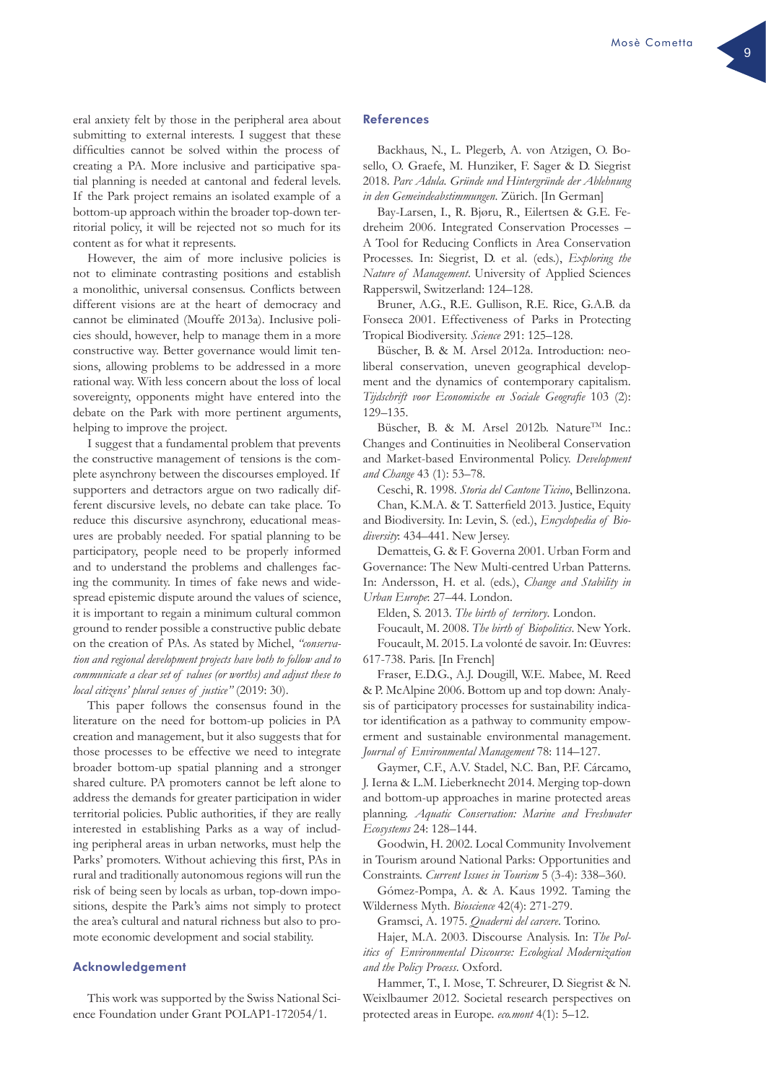eral anxiety felt by those in the peripheral area about submitting to external interests. I suggest that these difficulties cannot be solved within the process of creating a PA. More inclusive and participative spatial planning is needed at cantonal and federal levels. If the Park project remains an isolated example of a bottom-up approach within the broader top-down territorial policy, it will be rejected not so much for its content as for what it represents.

However, the aim of more inclusive policies is not to eliminate contrasting positions and establish a monolithic, universal consensus. Conflicts between different visions are at the heart of democracy and cannot be eliminated (Mouffe 2013a). Inclusive policies should, however, help to manage them in a more constructive way. Better governance would limit tensions, allowing problems to be addressed in a more rational way. With less concern about the loss of local sovereignty, opponents might have entered into the debate on the Park with more pertinent arguments, helping to improve the project.

I suggest that a fundamental problem that prevents the constructive management of tensions is the complete asynchrony between the discourses employed. If supporters and detractors argue on two radically different discursive levels, no debate can take place. To reduce this discursive asynchrony, educational measures are probably needed. For spatial planning to be participatory, people need to be properly informed and to understand the problems and challenges facing the community. In times of fake news and widespread epistemic dispute around the values of science, it is important to regain a minimum cultural common ground to render possible a constructive public debate on the creation of PAs. As stated by Michel, *"conservation and regional development projects have both to follow and to communicate a clear set of values (or worths) and adjust these to local citizens' plural senses of justice"* (2019: 30).

This paper follows the consensus found in the literature on the need for bottom-up policies in PA creation and management, but it also suggests that for those processes to be effective we need to integrate broader bottom-up spatial planning and a stronger shared culture. PA promoters cannot be left alone to address the demands for greater participation in wider territorial policies. Public authorities, if they are really interested in establishing Parks as a way of including peripheral areas in urban networks, must help the Parks' promoters. Without achieving this first, PAs in rural and traditionally autonomous regions will run the risk of being seen by locals as urban, top-down impositions, despite the Park's aims not simply to protect the area's cultural and natural richness but also to promote economic development and social stability.

### Acknowledgement

This work was supported by the Swiss National Science Foundation under Grant POLAP1-172054/1.

#### References

Backhaus, N., L. Plegerb, A. von Atzigen, O. Bosello, O. Graefe, M. Hunziker, F. Sager & D. Siegrist 2018. *Parc Adula. Gründe und Hintergründe der Ablehnung in den Gemeindeabstimmungen*. Zürich. [In German]

Bay-Larsen, I., R. Bjøru, R., Eilertsen & G.E. Fedreheim 2006. Integrated Conservation Processes – A Tool for Reducing Conflicts in Area Conservation Processes. In: Siegrist, D. et al. (eds.), *Exploring the Nature of Management*. University of Applied Sciences Rapperswil, Switzerland: 124–128.

Bruner, A.G., R.E. Gullison, R.E. Rice, G.A.B. da Fonseca 2001. Effectiveness of Parks in Protecting Tropical Biodiversity. *Science* 291: 125–128.

Büscher, B. & M. Arsel 2012a. Introduction: neoliberal conservation, uneven geographical development and the dynamics of contemporary capitalism. *Tijdschrift voor Economische en Sociale Geografie* 103 (2): 129–135.

Büscher, B. & M. Arsel 2012b. Nature<sup>TM</sup> Inc.: Changes and Continuities in Neoliberal Conservation and Market-based Environmental Policy. *Development and Change* 43 (1): 53–78.

Ceschi, R. 1998. *Storia del Cantone Ticino*, Bellinzona. Chan, K.M.A. & T. Satterfield 2013. Justice, Equity

and Biodiversity. In: Levin, S. (ed.), *Encyclopedia of Biodiversity*: 434–441. New Jersey.

Dematteis, G. & F. Governa 2001. Urban Form and Governance: The New Multi-centred Urban Patterns. In: Andersson, H. et al. (eds.), *Change and Stability in Urban Europe*: 27–44. London.

Elden, S. 2013. *The birth of territory*. London.

Foucault, M. 2008. *The birth of Biopolitics*. New York. Foucault, M. 2015. La volonté de savoir. In: Œuvres: 617-738. Paris. [In French]

Fraser, E.D.G., A.J. Dougill, W.E. Mabee, M. Reed & P. McAlpine 2006. Bottom up and top down: Analysis of participatory processes for sustainability indicator identification as a pathway to community empowerment and sustainable environmental management. *Journal of Environmental Management* 78: 114–127.

Gaymer, C.F., A.V. Stadel, N.C. Ban, P.F. Cárcamo, J. Ierna & L.M. Lieberknecht 2014. Merging top-down and bottom-up approaches in marine protected areas planning. *Aquatic Conservation: Marine and Freshwater Ecosystems* 24: 128–144.

Goodwin, H. 2002. Local Community Involvement in Tourism around National Parks: Opportunities and Constraints. *Current Issues in Tourism* 5 (3-4): 338–360.

Gómez-Pompa, A. & A. Kaus 1992. Taming the Wilderness Myth. *Bioscience* 42(4): 271-279.

Gramsci, A. 1975. *Quaderni del carcere*. Torino.

Hajer, M.A. 2003. Discourse Analysis. In: *The Politics of Environmental Discourse: Ecological Modernization and the Policy Process*. Oxford.

Hammer, T., I. Mose, T. Schreurer, D. Siegrist & N. Weixlbaumer 2012. Societal research perspectives on protected areas in Europe. *eco.mont* 4(1): 5–12.